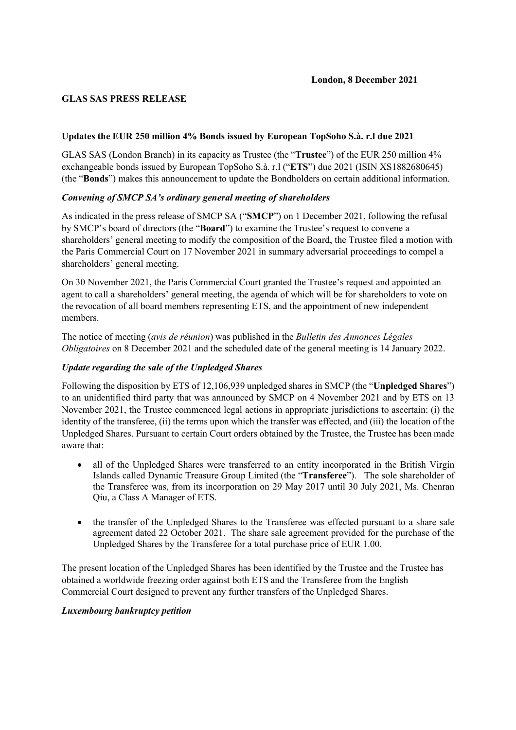# **GLAS SAS PRESS RELEASE**

# **Updates the EUR 250 million 4% Bonds issued by European TopSoho S.à. r.l due 2021**

GLAS SAS (London Branch) in its capacity as Trustee (the "**Trustee**") of the EUR 250 million 4% exchangeable bonds issued by European TopSoho S.à. r.l ("**ETS**") due 2021 (ISIN XS1882680645) (the "**Bonds**") makes this announcement to update the Bondholders on certain additional information.

# *Convening of SMCP SA's ordinary general meeting of shareholders*

As indicated in the press release of SMCP SA ("**SMCP**") on 1 December 2021, following the refusal by SMCP's board of directors (the "**Board**") to examine the Trustee's request to convene a shareholders' general meeting to modify the composition of the Board, the Trustee filed a motion with the Paris Commercial Court on 17 November 2021 in summary adversarial proceedings to compel a shareholders' general meeting.

On 30 November 2021, the Paris Commercial Court granted the Trustee's request and appointed an agent to call a shareholders' general meeting, the agenda of which will be for shareholders to vote on the revocation of all board members representing ETS, and the appointment of new independent members.

The notice of meeting (*avis de réunion*) was published in the *Bulletin des Annonces Légales Obligatoires* on 8 December 2021 and the scheduled date of the general meeting is 14 January 2022.

## *Update regarding the sale of the Unpledged Shares*

Following the disposition by ETS of 12,106,939 unpledged shares in SMCP (the "**Unpledged Shares**") to an unidentified third party that was announced by SMCP on 4 November 2021 and by ETS on 13 November 2021, the Trustee commenced legal actions in appropriate jurisdictions to ascertain: (i) the identity of the transferee, (ii) the terms upon which the transfer was effected, and (iii) the location of the Unpledged Shares. Pursuant to certain Court orders obtained by the Trustee, the Trustee has been made aware that:

- all of the Unpledged Shares were transferred to an entity incorporated in the British Virgin Islands called Dynamic Treasure Group Limited (the "**Transferee**"). The sole shareholder of the Transferee was, from its incorporation on 29 May 2017 until 30 July 2021, Ms. Chenran Qiu, a Class A Manager of ETS.
- the transfer of the Unpledged Shares to the Transferee was effected pursuant to a share sale agreement dated 22 October 2021. The share sale agreement provided for the purchase of the Unpledged Shares by the Transferee for a total purchase price of EUR 1.00.

The present location of the Unpledged Shares has been identified by the Trustee and the Trustee has obtained a worldwide freezing order against both ETS and the Transferee from the English Commercial Court designed to prevent any further transfers of the Unpledged Shares.

## *Luxembourg bankruptcy petition*